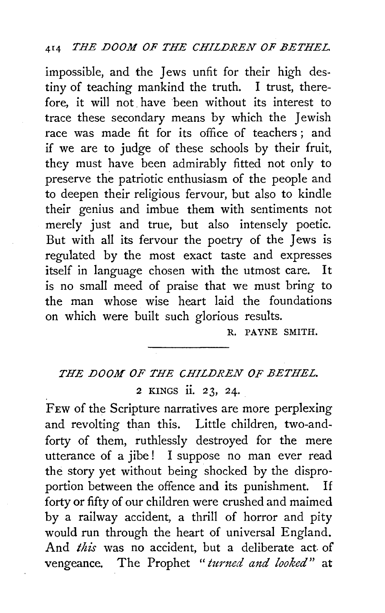impossible, and the Jews unfit for their high destiny of teaching mankind the truth. I trust, therefore, it will not. have been without its interest to trace these secondary means by which the Jewish race was made fit for its office of teachers; and if we are to judge of these schools by their fruit, they must have been admirably fitted not only to preserve the patriotic enthusiasm of the people and to deepen their religious fervour, but also to kindle their genius and imbue them with sentiments not merely just and true, but also intensely poetic. But with all its fervour the poetry of the Jews is regulated by the most exact taste and expresses itself in language chosen with the utmost care. It is no small meed of praise that we must bring to the man whose wise heart laid the foundations on which were built such glorious results.

R. PA YNE SMITH.

## *THE DOOM OF THE CHILDREN OF BETHEL.*  2 KINGS ii. *23,* 24.

FEw of the Scripture narratives are more perplexing and revolting than this. Little children, two-andforty of them, ruthlessly destroyed for the mere utterance of a jibe! I suppose no man ever read the story yet without being shocked by the disproportion between the offence and its punishment. If forty or fifty of our children were crushed and maimed by a railway accident, a thrill of horror and pity would run through the heart of universal England. And *this* was no accident, but a deliberate act. of vengeance. The Prophet " turned and looked" at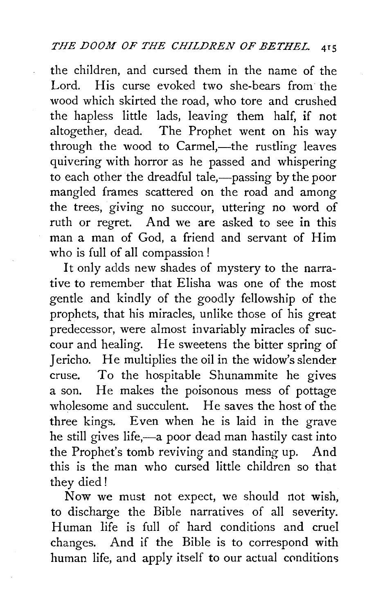the children, and cursed them in the name of the Lord. His curse evoked two she-bears from the wood which skirted the road, who tore and crushed the hapless little lads, leaving them half, if not altogether, dead. The Prophet went on his way through the wood to Carmel,—the rustling leaves quivering with horror as he passed and whispering to each other the dreadful tale,—passing by the poor mangled frames scattered on the road and among the trees, giving no succour, uttering no word of ruth or regret. And we are asked to see in this man a man of God, a friend and servant of Him who is full of all compassioa !

It only adds new shades of mystery to the narrative to remember that Elisha was one of the most gentle and kindly of the goodly fellowship of the prophets, that his miracles, unlike those of his great predecessor, were almost invariably miracles of succour and healing. He sweetens the bitter spring of Jericho. He multiplies the oil in the widow's slender cruse. To the hospitable Shunammite he gives a son. He makes the poisonous mess of pottage wholesome and succulent. He saves the host of the three kings. Even when he is laid in the grave he still gives life,-a poor dead man hastily cast into the Prophet's tomb reviving and standing up. And this is the man who cursed little children so that they died!

Now we must not expect, we should not wish, to discharge the Bible narratives of all severity. Human life is full of hard conditions and cruel changes. And if the Bible is to correspond with human life, and apply itself to our actual conditions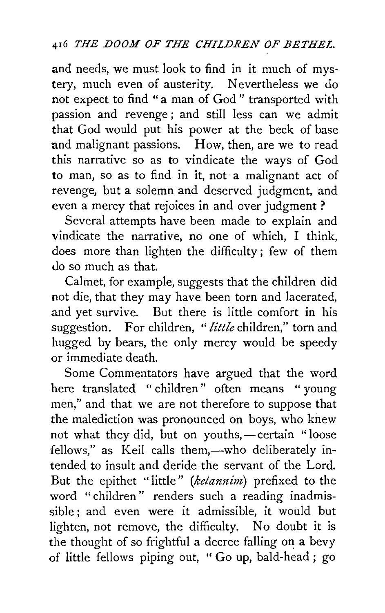and needs, we must look to find in it much of mys· tery, much even of austerity. Nevertheless we do not expect to find "a man of God" transported with passion and revenge; and still less can we admit that God would put his power at the beck of base and malignant passions. How, then, are we to read this narrative so as to vindicate the ways of God to man, so as to find in it, not a malignant act of revenge, but a solemn and deserved judgment, and even a mercy that rejoices in and over judgment ?

Several attempts have been made to explain and vindicate the narrative, no one of which, I think, does more than lighten the difficulty ; few of them do so much as that.

Calmet, for example, suggests that the children did not die, that they may have been torn and lacerated, and yet survive. But there is little comfort in his suggestion. For children, *"little* children," torn and hugged by bears, the only mercy would be speedy or immediate death.

Some Commentators have argued that the word here translated " children" often means " young men," and that we are not therefore to suppose that the malediction was pronounced on boys, who knew not what they did, but on youths,—certain "loose fellows," as Keil calls them,-who deliberately intended to insult and deride the servant of the Lord. But the epithet "little" *(ketannim)* prefixed to the word " children" renders such a reading inadmissible ; and even were it admissible, it would but lighten, not remove, the difficulty. No doubt it is the thought of so frightful a decree falling on a bevy of little fellows piping out, " Go up, bald-head ; go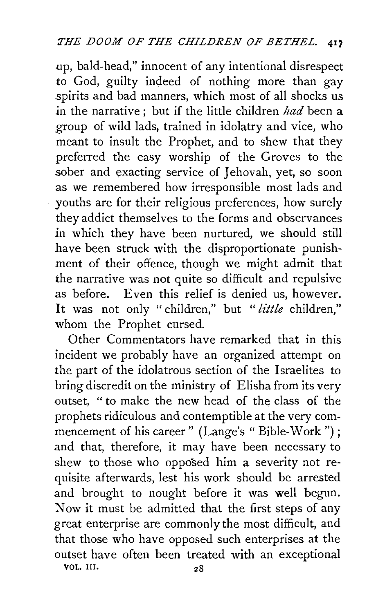.up, bald-head," innocent of any intentional disrespect to God, guilty indeed of nothing more than gay spirits and bad manners, which most of all shocks us .in the narrative ; but if the little children *had* been a group of wild lads, trained in idolatry and vice, who meant to insult the Prophet, and to shew that they preferred the easy worship of the Groves to the sober and exacting service of Jehovah, yet, so soon as we remembered how irresponsible most lads and youths are for their religious preferences, how surely they addict themselves to the forms and observances *in* which they have been nurtured, we should still have been struck with the disproportionate punishment of their offence, though we might admit that the narrative was not quite so difficult and repulsive as before. Even this relief is denied us, however. It was not only " children," but " *little* children," whom the Prophet cursed.

Other Commentators have remarked that in this incident we probably have an organized attempt on the part of the idolatrous section of the Israelites to bring discredit on the ministry of Elisha from its very outset, "to make the new head of the class of the prophets ridiculous and contemptible at the very commencement of his career" (Lange's "Bible-Work"); and that, therefore, it may have been necessary to shew to those who opposed him a severity not requisite afterwards, lest his work should be arrested and brought to nought before it was well begun. Now it must be admitted that the first steps of any great enterprise are commonly the most difficult, and that those who have opposed such enterprises at the outset have often been treated with an exceptional VOL. Ill. 28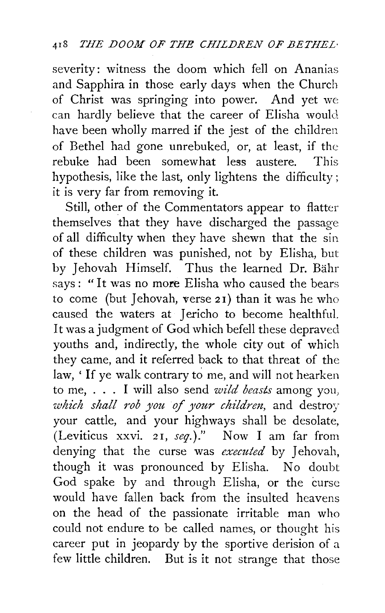severity: witness the doom which fell on Ananias and Sapphira in those early days when the Church of Christ was springing into power. And yet we can hardly believe that the career of Elisha would have been wholly marred if the jest of the children of Bethel had gone unrebuked, or, at least, if the rebuke had been somewhat less austere  $\mathbf{r}$ ebuke had been somewhat less austere hypothesis, like the last, only lightens the difficulty : it is very far from removing it.

Still, other of the Commentators appear to flatter themselves that they have discharged the passage of all difficulty when they have shewn that the sin of these children was punished, not by Elisha, but by Jehovah Himself. Thus the learned Dr. Bähr says : " It was no more Elisha who caused the bears to come (but Jehovah, verse 21) than it was he who caused the waters at Jericho to become healthfuL It was a judgment of God which befell these depraved youths and, indirectly, the whole city out of which they came, and it referred back to that threat of the law, ' If ye walk contrary to me, and will not hearken to me, . . . I will also send *wild beasts* among you, *which shall rob you of your children*, and destroy your cattle, and your highways shall be desolate, (Leviticus xxvi. 2 1, *seq.)* ." Now I am far from denying that the curse was *executed* by Jehovah, though it was pronounced by Elisha. No doubt God spake by and through Elisha, or the curse would have fallen back from the insulted heavens on the head of the passionate irritable man who could not endure to be called names, or thought his career put in jeopardy by the sportive derision of a few little children. But is it not strange that those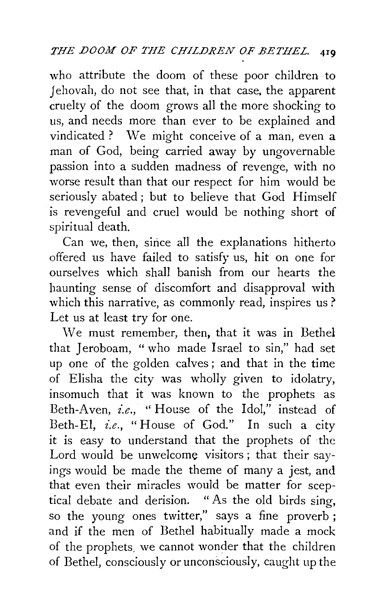who attribute the doom of these poor children to *J* ehovah, do not see that, in that case, the apparent cruelty of the doom grows all the more shocking to us, and needs more than ever to be explained and vindicated ? We might conceive of a man, even a man of God, being carried away by ungovernable passion into a sudden madness of revenge, with no worse result than that our respect for him would be seriously abated ; but to believe that God Himself is revengeful and cruel would be nothing short of spiritual death.

Can we, then, sirice all the explanations hitherto offered us have failed to satisfy us, hit on one for ourselves which shall banish from our hearts the haunting sense of discomfort and disapproval with which this narrative, as commonly read, inspires us? Let us at least try for one.

\Ve must remember, then, that it was in Bethel that Jeroboam, " who made Israel to sin," had set up one of the golden calves ; and that in the time of Elisha the city was wholly given to idolatry, insomuch that it was known to the prophets as Beth-Aven, *i.e.,* "House of the Idol," instead of Beth-El, *i.e.,* "House of God." In such a city it is easy to understand that the prophets of the Lord would be unwelcome visitors; that their sayings would be made the theme of many a jest, and that even their miracles would be matter for sceptical debate and derision. "As the old birds sing, so the young ones twitter," says a fine proverb ; and if the men of Bethel habitually made a mock of the prophets, we cannot wonder that the children of Bethel, consciously or unconsciously, caught up the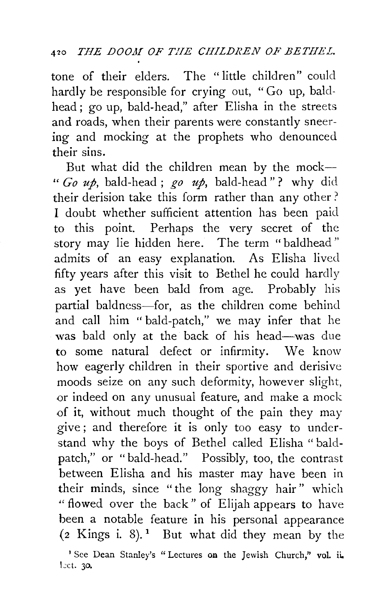tone of their elders. The "little children" could hardly be responsible for crying out, "Go up, baldhead; go up, bald-head," after Elisha in the streets and roads, when their parents were constantly sneering and mocking at the prophets who denounced their sins.

But what did the children mean by the mock- " *Go up,* bald-head ; *go up,* bald-head" ? why did their derision take this form rather than any other ? I doubt whether sufficient attention has been paid to this point. Perhaps the very secret of the story may lie hidden here. The term "baldhead" admits of an easy explanation. As Elisha lived fifty years after this visit to Bethel he could hardly as yet have been bald from age. Probably his partial baldness-for, as the children come behind and call him "bald-patch," we may infer that he was bald only at the back of his head-was due to some natural defect or infirmity. We know how eagerly children in their sportive and derisive moods seize on any such deformity, however slight, or indeed on any unusual feature, and make a mock of it, without much thought of the pain they may give; and therefore it is only too easy to understand why the boys of Bethel called Elisha "baldpatch," or "bald-head." Possibly, too, the contrast between Elisha and his master may have been in their minds, since "the long shaggy hair" which " flowed over the back" of Elijah appears to have been a notable feature in his personal appearance  $(2 \text{ Kings } i. 8)$ .<sup>1</sup> But what did they mean by the

<sup>&#</sup>x27;See Dean Stanley's "Lectures on the Jewish Church," vol. ii. Let. 30.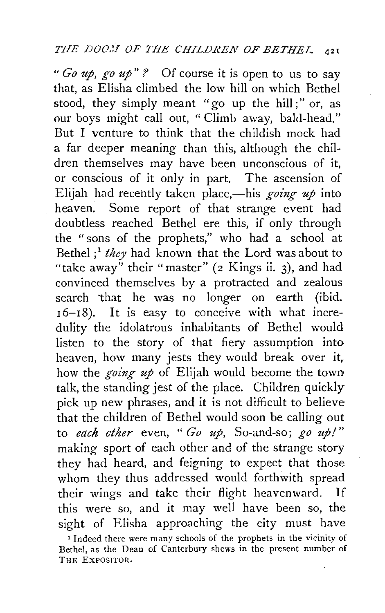" *Go up, go up" '?* Of course it is open to us to say that, as Elisha climbed the low hill on which Bethel stood, they simply meant "go up the hill;" or, as our boys might call out, "Climb away, bald-head." But I venture to think that the childish mock had a far deeper meaning than this, although the children themselves may have been unconscious of it, or conscious of it only in part. The ascension of Elijah had recently taken place,-his *going up* into heaven. Some report of that strange event had doubtless reached Bethel ere this, if only through the "sons of the prophets," who had a school at Bethel ; <sup>1</sup>*they* had known that the Lord was about to "take away" their "master" *(z* Kings ii. 3), and had convinced themselves by a protracted and zealous search that he was no longer on earth (ibid. 16-18). It is easy to conceive with what incredulity the idolatrous inhabitants of Bethel would listen to the story of that fiery assumption intoheaven, how many jests they would break over it, how the *going up* of Elijah would become the town talk, the standing jest of the place. Children quickly pick up new phrases, and it is not difficult to believe that the children of Bethel would soon be calling out to *each ether* even, " *Go up,* So-and-so; *go up!"*  making sport of each other and of the strange story they had heard, and feigning to expect that those whom they thus addressed would forthwith spread their wings and take their flight heavenward. If this were so, and it may well have been so, the sight of Elisha approaching the city must have

<sup>&</sup>lt;sup>1</sup> Indeed there were many schools of the prophets in the vicinity of Bethel, as the Dean of Canterbury shews in the present number of THE EXPOSITOR·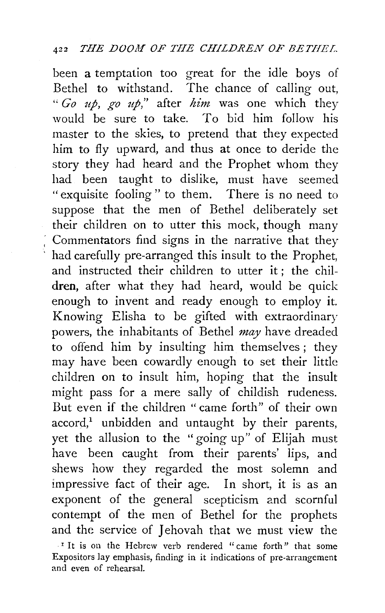been a temptation too great for the idle boys of Bethel to withstand. The chance of calling out, *"Go up, go up,"* after *him* was one which they would be sure to take. To hid him follow his master to the skies, to pretend that they expected him to fly upward, and thus at once to deride the story they had heard and the Prophet whom they had been taught to dislike, must have seemed "exquisite fooling " to them. There is no need to suppose that the men of Bethel deliberately set their children on to utter this mock, though many Commentators find signs in the narrative that they had carefully pre-arranged this insult to the Prophet, and instructed their children to utter it ; the chil**dren,** after what they had heard, would be quick enough to invent and ready enough to employ it. Knowing Elisha to be gifted with extraordinary powers, the inhabitants of Bethel *may* have dreaded to offend him by insulting him themselves ; they may have been cowardly enough to set their little children on to insult him, hoping that the insult might pass for a mere sally of childish rudeness. But even if the children " came forth" of their own  $accord<sup>1</sup>$  unbidden and untaught by their parents, yet the allusion to the "going up" of Elijah must have been caught from their parents' lips, and shews how they regarded the most solemn and impressive facr of their age. In short, it is as an exponent of the general scepticism and scornful contempt of the men of Bethel for the prophets and the service of **J**ehovah that we must view the

<sup>&</sup>lt;sup>I</sup> It is on the Hebrew verb rendered "came forth" that some Expositors lay emphasis, finding in it indications of pre-arrangement and even of rehearsal.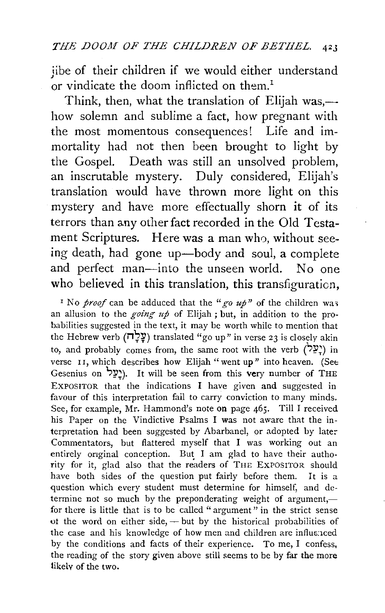iibe of their children if we would either understand or vindicate the doom inflicted on them.<sup>1</sup>

Think, then, what the translation of Elijah was,how solemn and sublime a fact, how pregnant with the most momentous consequences! Life and immortality had not then been brought to light by the Gospel. Death was still an unsolved problem, an inscrutable mystery. Duly considered, Elijah's translation would have thrown more light on this mystery and have more effectually shorn it of its terrors than any other fact recorded in the Old Testament Scriptures. Here was a man who, without seeing death, had gone up-body and soul, a complete and perfect man—into the unseen world. No one who believed in this translation, this transfiguration,

<sup>1</sup> No *proof* can be adduced that the "*go up*" of the children was an allusion to the *going up* of Elijah ; but, in addition to the probabilities suggested in the text, it may be worth while to mention that the Hebrew verb ( $\frac{1}{2}$ עָלָה) translated "go up" in verse 23 is closely akin to, and probably comes from, the same root with the verb  $(22^{\circ})$  in verse II, which describes how Elijah "went up" into heaven. (See Gesenius on 'יַצְלַל). It will be seen from this very number of THE EXPOSITOR that the indications I have given and suggested in favour of this interpretation fail to carry conviction to many minds. See, for example, Mr. Hammond's note on page 465. Till I received his Paper on the Vindictive Psalms I was not aware that the interpretation had been suggested by Abarbanel, or adopted by later Commentators, but flattered myself that I was working out an entirely onginal conception. But I am glad to have their authority for it, glad also that the readers of THE EXPOSITOR should have both sides of the question put fairly before them. It is a question which every student must determine for himself, and determine not so much by the preponderating weight of argument,for there is little that is to be called "argument" in the strict sense ot the word on either side,  $-$  but by the historical probabilities of the case and his knowledge of how men and children are influenced by the conditions and facts of their experience. To me, I confess, the reading of the story given above still seems to be by far the more likelv of the two.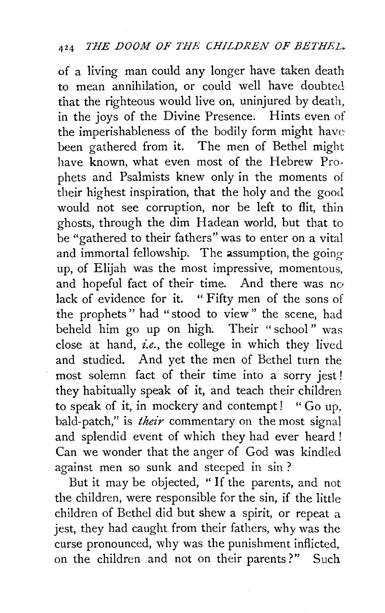of a living man could any longer have taken death to mean annihilation, or could well have doubted that the righteous would live on, uninjured by death, in the joys of the Divine Presence; Hints even of the imperishableness of the bodily form might have been gathered from it. The men of Bethel might have known, what even most of the Hebrew Prophets and Psalmists knew only in the moments of their highest inspiration, that the holy and the good would not see corruption, nor be left to flit, thin ghosts, through the dim Hadean world, but that to be "gathered to their fathers" was to enter on a vital and immortal fellowship. The assumption, the going up, of Elijah was the most impressive, momentous, and hopeful fact of their time. And there was no lack of evidence for it. "Fifty men of the sons of the prophets " had "stood to view " the scene, had beheld him go up on high. Their " school " was close at hand, *i.e.,* the college in which they lived and studied. And yet the men of Bethel turn the most solemn fact of their time into a sorry jest ! they habitually speak of it, and teach their children to speak of it, in mockery and contempt! " Go up, bald-patch," is *their* commentary on the most signal and splendid event of which they had ever heard ! Can we wonder that the anger of God was kindled against men so sunk and steeped in sin ?

But it may be objected, " If the parents, and not the children, were responsible for the sin, if the little children of Bethel did but shew a spirit, or repeat a jest, they had caught from their fathers, why was the curse pronounced, why was the punishment inflicted, on the children and not on their parents?" Such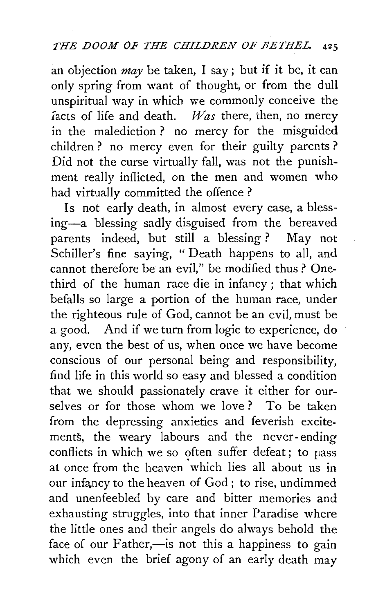an objection *may* be taken, I say; but if it be, it can only spring from want of thought, or from the dull unspiritual way in which we commonly conceive the  $\int$  facts of life and death. *Was* there, then, no mercy in the malediction ? no mercy for the misguided children ? no mercy even for their guilty parents ? Did not the curse virtually fall, was not the punishment really inflicted, on the men and women who had virtually committed the offence ?

Is not early death, in almost every case, a blessing-a blessing sadly disguised from the bereaved parents indeed, but still a blessing ? May not Schiller's fine saying, "Death happens to all, and cannot therefore be an evil," be modified thus ? Onethird of the human race die in infancy; that which befalls so large a portion of the human race, under the righteous rule of God, cannot be an evil, must be a good. And if we turn from logic to experience, do any, even the best of us, when once we have become conscious of our personal being and responsibility, find life in this world so easy and blessed a condition that we should passionately crave it either for ourselves or for those whom we love? To be taken from the depressing anxieties and feverish excitements, the weary labours and the never-ending conflicts in which we so often suffer defeat; to pass at once from the heaven which lies all about us in our infancy to the heaven of God; to rise, undimmed and unenfeebled by care and bitter memories and exhausting struggles, into that inner Paradise where the little ones and their angels do always behold the face of our Father,—is not this a happiness to gain which even the brief agony of an early death may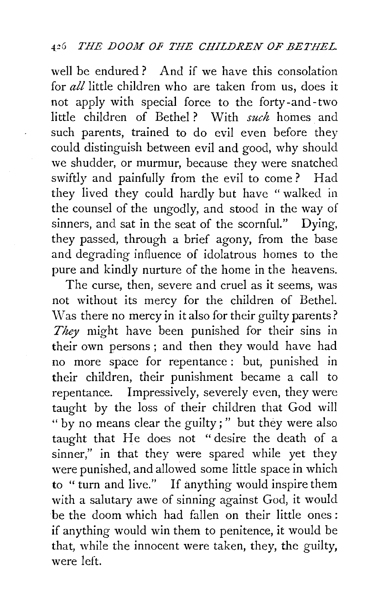well be endured ? And if we have this consolation for *all* little children who are taken from us, does it not apply with special force to the forty-and-two little children of Bethel ? With *such* homes and such parents, trained to do evil even before they could distinguish between evil and good, why should we shudder, or murmur, because they were snatched swiftly and painfully from the evil to come ? Had they lived they could hardly but have " walked in the counsel of the ungodly, and stood in the way of sinners, and sat in the seat of the scornful." Dying, they passed, through a brief agony, from the base and degrading influence of idolatrous homes to the pure and kindly nurture of the home in the heavens.

The curse, then, severe and cruel as it seems, was not without its mercy for the children of Bethel. Was there no mercy in it also for their guilty parents? *They* might have been punished for their sins in their own persons ; and then they would have had no more space for repentance: but, punished in their children, their punishment became a call to repentance. Impressively, severely even, they were taught by the loss of their children that God will " by no means clear the guilty ; " but they were also taught that He does not "desire the death of a sinner," in that they were spared while yet they were punished, and allowed some little space in which to "turn and live." If anything would inspire them with a salutary awe of sinning against God, it would be the doom which had fallen on their little ones : if anything would win them to penitence, it would be that, while the innocent were taken, they, the guilty, were left.